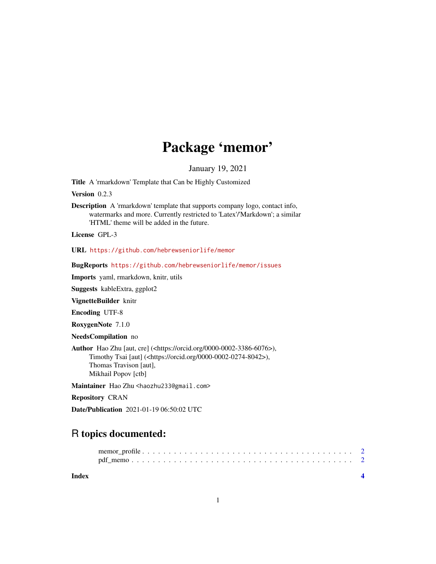# Package 'memor'

January 19, 2021

Title A 'rmarkdown' Template that Can be Highly Customized

Version 0.2.3

Description A 'rmarkdown' template that supports company logo, contact info, watermarks and more. Currently restricted to 'Latex'/'Markdown'; a similar 'HTML' theme will be added in the future.

License GPL-3

URL <https://github.com/hebrewseniorlife/memor>

BugReports <https://github.com/hebrewseniorlife/memor/issues>

Imports yaml, rmarkdown, knitr, utils

Suggests kableExtra, ggplot2

VignetteBuilder knitr

Encoding UTF-8

RoxygenNote 7.1.0

NeedsCompilation no

Author Hao Zhu [aut, cre] (<https://orcid.org/0000-0002-3386-6076>), Timothy Tsai [aut] (<https://orcid.org/0000-0002-0274-8042>), Thomas Travison [aut], Mikhail Popov [ctb]

Maintainer Hao Zhu <haozhu233@gmail.com>

Repository CRAN

Date/Publication 2021-01-19 06:50:02 UTC

## R topics documented:

**Index** [4](#page-3-0)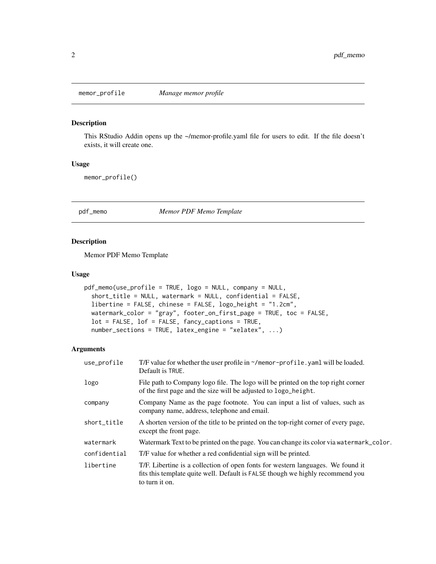<span id="page-1-0"></span>

#### Description

This RStudio Addin opens up the ~/memor-profile.yaml file for users to edit. If the file doesn't exists, it will create one.

#### Usage

memor\_profile()

pdf\_memo *Memor PDF Memo Template*

#### Description

Memor PDF Memo Template

#### Usage

```
pdf_memo(use_profile = TRUE, logo = NULL, company = NULL,
  short_title = NULL, watermark = NULL, confidential = FALSE,
  libertine = FALSE, chinese = FALSE, logo_height = "1.2cm",
 watermark_color = "gray", footer_on_first_page = TRUE, toc = FALSE,
  lot = FALSE, lof = FALSE, fancy_captions = TRUE,number_sections = TRUE, latex_engine = "xelatex", ...)
```
#### Arguments

| use_profile  | T/F value for whether the user profile in ~/memor-profile.yaml will be loaded.<br>Default is TRUE.                                                                                  |
|--------------|-------------------------------------------------------------------------------------------------------------------------------------------------------------------------------------|
| logo         | File path to Company logo file. The logo will be printed on the top right corner<br>of the first page and the size will be adjusted to logo_height.                                 |
| company      | Company Name as the page footnote. You can input a list of values, such as<br>company name, address, telephone and email.                                                           |
| short_title  | A shorten version of the title to be printed on the top-right corner of every page,<br>except the front page.                                                                       |
| watermark    | Watermark Text to be printed on the page. You can change its color via watermark_color.                                                                                             |
| confidential | T/F value for whether a red confidential sign will be printed.                                                                                                                      |
| libertine    | T/F. Libertine is a collection of open fonts for western languages. We found it<br>fits this template quite well. Default is FALSE though we highly recommend you<br>to turn it on. |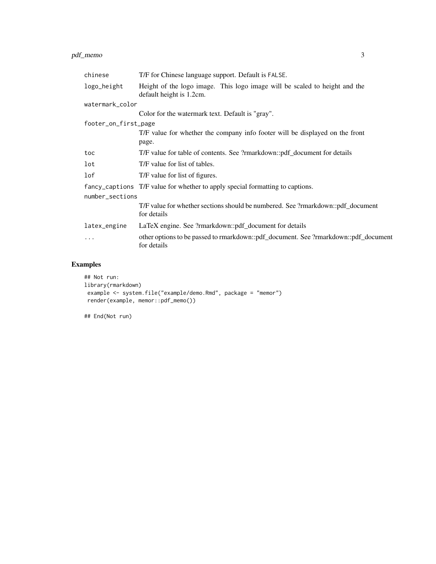#### pdf\_memo 3

| chinese              | T/F for Chinese language support. Default is FALSE.                                                    |
|----------------------|--------------------------------------------------------------------------------------------------------|
| logo_height          | Height of the logo image. This logo image will be scaled to height and the<br>default height is 1.2cm. |
| watermark_color      |                                                                                                        |
|                      | Color for the watermark text. Default is "gray".                                                       |
| footer_on_first_page |                                                                                                        |
|                      | T/F value for whether the company info footer will be displayed on the front                           |
|                      | page.                                                                                                  |
| toc                  | T/F value for table of contents. See ?rmarkdown::pdf_document for details                              |
| lot                  | T/F value for list of tables.                                                                          |
| 1 of                 | T/F value for list of figures.                                                                         |
|                      | fancy_captions T/F value for whether to apply special formatting to captions.                          |
| number_sections      |                                                                                                        |
|                      | T/F value for whether sections should be numbered. See ?rmarkdown::pdf_document<br>for details         |
| latex_engine         | LaTeX engine. See ?rmarkdown::pdf_document for details                                                 |
| $\ddotsc$            | other options to be passed to rmarkdown::pdf_document. See ?rmarkdown::pdf_document<br>for details     |

### Examples

```
## Not run:
library(rmarkdown)
example <- system.file("example/demo.Rmd", package = "memor")
render(example, memor::pdf_memo())
```
## End(Not run)